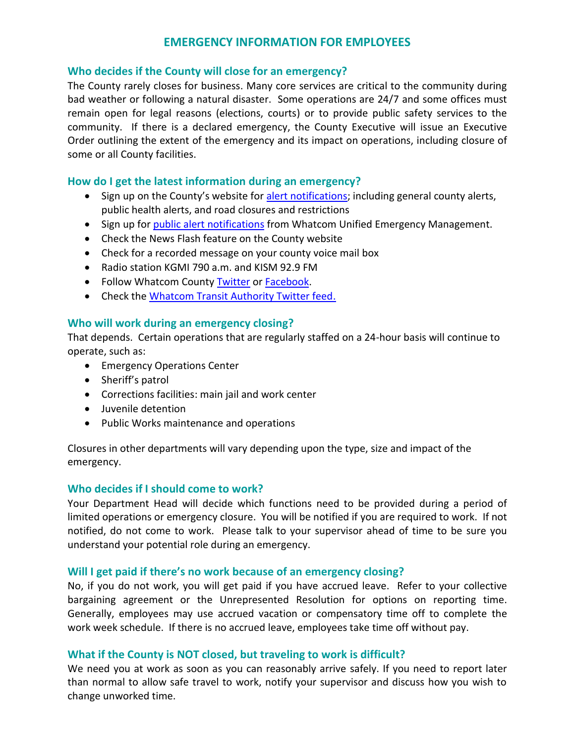# **EMERGENCY INFORMATION FOR EMPLOYEES**

## **Who decides if the County will close for an emergency?**

The County rarely closes for business. Many core services are critical to the community during bad weather or following a natural disaster. Some operations are 24/7 and some offices must remain open for legal reasons (elections, courts) or to provide public safety services to the community. If there is a declared emergency, the County Executive will issue an Executive Order outlining the extent of the emergency and its impact on operations, including closure of some or all County facilities.

## **How do I get the latest information during an emergency?**

- Sign up on the County's website for [alert notifications;](http://www.co.whatcom.wa.us/list.aspx) including general county alerts, public health alerts, and road closures and restrictions
- Sign up for public alert [notifications](http://www.whatcomready.org/public-alerts) from Whatcom Unified Emergency Management.
- Check the News Flash feature on the County website
- Check for a recorded message on your county voice mail box
- Radio station KGMI 790 a.m. and KISM 92.9 FM
- Follow Whatcom County [Twitter](https://twitter.com/whatcom_news?lang=en) or [Facebook.](https://www.facebook.com/WIN4News/)
- Check the [Whatcom Transit Authority Twitter feed.](http://www.ridewta.com/emergency)

## **Who will work during an emergency closing?**

That depends. Certain operations that are regularly staffed on a 24-hour basis will continue to operate, such as:

- Emergency Operations Center
- Sheriff's patrol
- Corrections facilities: main jail and work center
- Juvenile detention
- Public Works maintenance and operations

Closures in other departments will vary depending upon the type, size and impact of the emergency.

## **Who decides if I should come to work?**

Your Department Head will decide which functions need to be provided during a period of limited operations or emergency closure. You will be notified if you are required to work. If not notified, do not come to work. Please talk to your supervisor ahead of time to be sure you understand your potential role during an emergency.

## **Will I get paid if there's no work because of an emergency closing?**

No, if you do not work, you will get paid if you have accrued leave. Refer to your collective bargaining agreement or the Unrepresented Resolution for options on reporting time. Generally, employees may use accrued vacation or compensatory time off to complete the work week schedule. If there is no accrued leave, employees take time off without pay.

## **What if the County is NOT closed, but traveling to work is difficult?**

We need you at work as soon as you can reasonably arrive safely. If you need to report later than normal to allow safe travel to work, notify your supervisor and discuss how you wish to change unworked time.